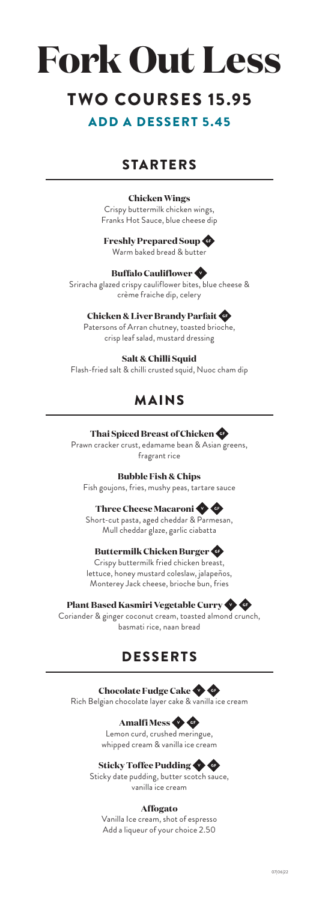# **Fork Out Less TWO COURSES 15.95** ADD A DESSERT 5.45

## STARTERS

#### **Chicken Wings**

Crispy buttermilk chicken wings, Franks Hot Sauce, blue cheese dip

#### **Freshly Prepared Soup**  Warm baked bread & butter

#### **Buffalo Cauliflower** Sriracha glazed crispy cauliflower bites, blue cheese & crème fraiche dip, celery

**Chicken & Liver Brandy Parfait**  Patersons of Arran chutney, toasted brioche, crisp leaf salad, mustard dressing

#### **Salt & Chilli Squid**

Flash-fried salt & chilli crusted squid, Nuoc cham dip

## MAINS

#### **Thai Spiced Breast of Chicken**

Prawn cracker crust, edamame bean & Asian greens, fragrant rice

**Bubble Fish & Chips**

Fish goujons, fries, mushy peas, tartare sauce

#### **Three Cheese Macaroni**

Short-cut pasta, aged cheddar & Parmesan, Mull cheddar glaze, garlic ciabatta

#### **Buttermilk Chicken Burger**

Crispy buttermilk fried chicken breast, lettuce, honey mustard coleslaw, jalapeños, Monterey Jack cheese, brioche bun, fries

#### **Plant Based Kasmiri Vegetable Curry**

Coriander & ginger coconut cream, toasted almond crunch, basmati rice, naan bread

## DESSERTS

#### **Chocolate Fudge Cake**

Rich Belgian chocolate layer cake & vanilla ice cream

### **Amalfi Mess**

Lemon curd, crushed meringue, whipped cream & vanilla ice cream

#### **Sticky Toffee Pudding**

Sticky date pudding, butter scotch sauce, vanilla ice cream

#### **Affogato**

Vanilla Ice cream, shot of espresso Add a liqueur of your choice 2.50